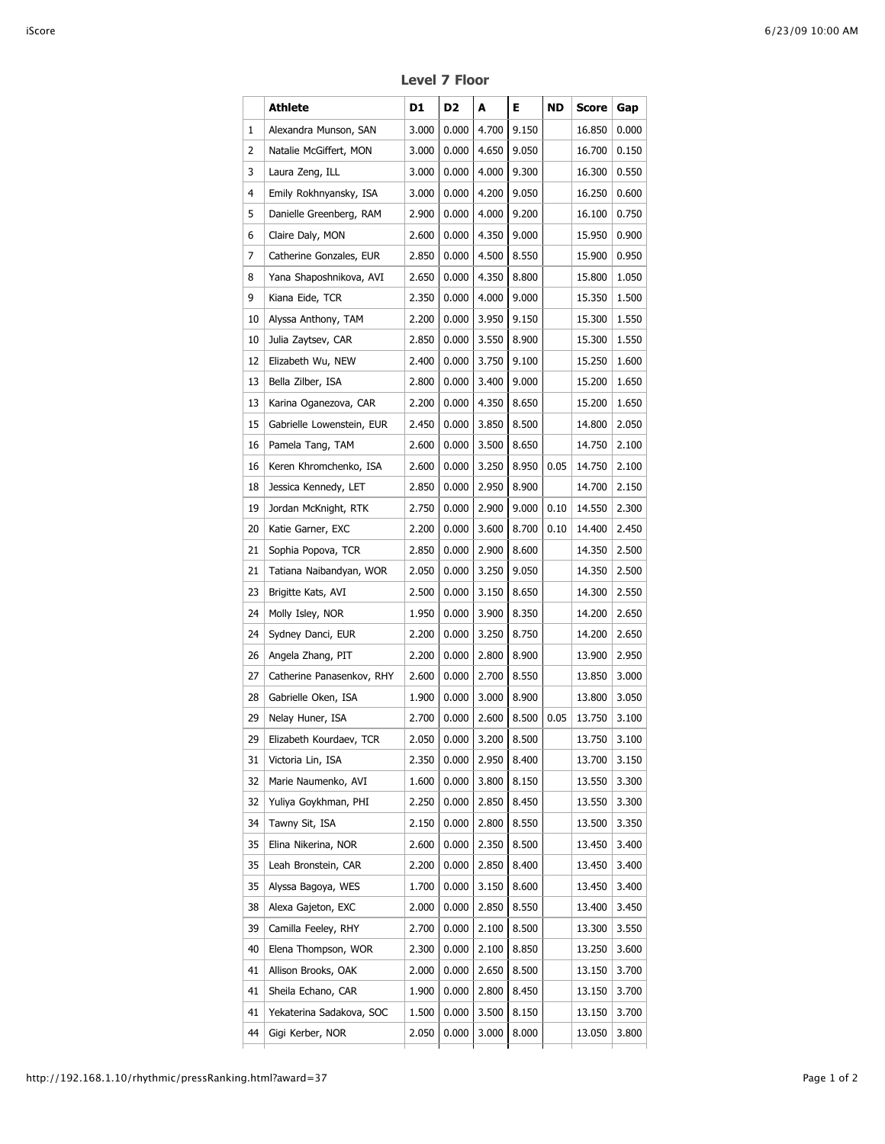|    | Athlete                   | D1    | D <sub>2</sub> | A     | Е.          | ND   | <b>Score</b> | Gap   |
|----|---------------------------|-------|----------------|-------|-------------|------|--------------|-------|
| 1  | Alexandra Munson, SAN     | 3.000 | 0.000          | 4.700 | 9.150       |      | 16.850       | 0.000 |
| 2  | Natalie McGiffert, MON    | 3.000 | 0.000          | 4.650 | 9.050       |      | 16.700       | 0.150 |
| 3  | Laura Zeng, ILL           | 3.000 | 0.000          | 4.000 | 9.300       |      | 16.300       | 0.550 |
| 4  | Emily Rokhnyansky, ISA    | 3.000 | 0.000          | 4.200 | 9.050       |      | 16.250       | 0.600 |
| 5  | Danielle Greenberg, RAM   | 2.900 | 0.000          | 4.000 | 9.200       |      | 16.100       | 0.750 |
| 6  | Claire Daly, MON          | 2.600 | 0.000          | 4.350 | 9.000       |      | 15.950       | 0.900 |
| 7  | Catherine Gonzales, EUR   | 2.850 | 0.000          | 4.500 | 8.550       |      | 15.900       | 0.950 |
| 8  | Yana Shaposhnikova, AVI   | 2.650 | 0.000          | 4.350 | 8.800       |      | 15.800       | 1.050 |
| 9  | Kiana Eide, TCR           | 2.350 | 0.000          | 4.000 | 9.000       |      | 15.350       | 1.500 |
| 10 | Alyssa Anthony, TAM       | 2.200 | 0.000          | 3.950 | 9.150       |      | 15.300       | 1.550 |
| 10 | Julia Zaytsev, CAR        | 2.850 | 0.000          | 3.550 | 8.900       |      | 15.300       | 1.550 |
| 12 | Elizabeth Wu, NEW         | 2.400 | 0.000          | 3.750 | 9.100       |      | 15.250       | 1.600 |
| 13 | Bella Zilber, ISA         | 2.800 | 0.000          | 3.400 | 9.000       |      | 15.200       | 1.650 |
| 13 | Karina Oganezova, CAR     | 2.200 | 0.000          | 4.350 | 8.650       |      | 15.200       | 1.650 |
| 15 | Gabrielle Lowenstein, EUR | 2.450 | 0.000          | 3.850 | 8.500       |      | 14.800       | 2.050 |
| 16 | Pamela Tang, TAM          | 2.600 | 0.000          | 3.500 | 8.650       |      | 14.750       | 2.100 |
| 16 | Keren Khromchenko, ISA    | 2.600 | 0.000          | 3.250 | 8.950       | 0.05 | 14.750       | 2.100 |
| 18 | Jessica Kennedy, LET      | 2.850 | 0.000          | 2.950 | 8.900       |      | 14.700       | 2.150 |
| 19 | Jordan McKnight, RTK      | 2.750 | 0.000          | 2.900 | 9.000       | 0.10 | 14.550       | 2.300 |
| 20 | Katie Garner, EXC         | 2.200 | 0.000          | 3.600 | 8.700       | 0.10 | 14.400       | 2.450 |
| 21 | Sophia Popova, TCR        | 2.850 | 0.000          | 2.900 | 8.600       |      | 14.350       | 2.500 |
| 21 | Tatiana Naibandyan, WOR   | 2.050 | 0.000          | 3.250 | 9.050       |      | 14.350       | 2.500 |
| 23 | Brigitte Kats, AVI        | 2.500 | 0.000          | 3.150 | 8.650       |      | 14.300       | 2.550 |
| 24 | Molly Isley, NOR          | 1.950 | 0.000          | 3.900 | 8.350       |      | 14.200       | 2.650 |
| 24 | Sydney Danci, EUR         | 2.200 | 0.000          | 3.250 | 8.750       |      | 14.200       | 2.650 |
| 26 | Angela Zhang, PIT         | 2.200 | 0.000          | 2.800 | 8.900       |      | 13.900       | 2.950 |
| 27 | Catherine Panasenkov, RHY | 2.600 | 0.000          | 2.700 | 8.550       |      | 13.850       | 3.000 |
| 28 | Gabrielle Oken, ISA       | 1.900 | 0.000          | 3.000 | 8.900       |      | 13.800       | 3.050 |
| 29 | Nelay Huner, ISA          | 2.700 | 0.000          | 2.600 | 8.500       | 0.05 | 13.750       | 3.100 |
| 29 | Elizabeth Kourdaev, TCR   |       | 2.050 0.000    |       | 3.200 8.500 |      | 13.750 3.100 |       |
| 31 | Victoria Lin, ISA         | 2.350 | 0.000          | 2.950 | 8.400       |      | 13.700       | 3.150 |
| 32 | Marie Naumenko, AVI       | 1.600 | 0.000          | 3.800 | 8.150       |      | 13.550       | 3.300 |
| 32 | Yuliya Goykhman, PHI      | 2.250 | 0.000          | 2.850 | 8.450       |      | 13.550       | 3.300 |
| 34 | Tawny Sit, ISA            | 2.150 | 0.000          | 2.800 | 8.550       |      | 13.500       | 3.350 |
| 35 | Elina Nikerina, NOR       | 2.600 | 0.000          | 2.350 | 8.500       |      | 13.450       | 3.400 |
| 35 | Leah Bronstein, CAR       | 2.200 | 0.000          | 2.850 | 8.400       |      | 13.450       | 3.400 |
| 35 | Alyssa Bagoya, WES        | 1.700 | 0.000          | 3.150 | 8.600       |      | 13.450       | 3.400 |
| 38 | Alexa Gajeton, EXC        | 2.000 | 0.000          | 2.850 | 8.550       |      | 13.400       | 3.450 |
| 39 | Camilla Feeley, RHY       | 2.700 | 0.000          | 2.100 | 8.500       |      | 13.300       | 3.550 |
| 40 | Elena Thompson, WOR       | 2.300 | 0.000          | 2.100 | 8.850       |      | 13.250       | 3.600 |
| 41 | Allison Brooks, OAK       | 2.000 | 0.000          | 2.650 | 8.500       |      | 13.150       | 3.700 |
| 41 | Sheila Echano, CAR        | 1.900 | 0.000          | 2.800 | 8.450       |      | 13.150       | 3.700 |
| 41 | Yekaterina Sadakova, SOC  | 1.500 | 0.000          | 3.500 | 8.150       |      | 13.150       | 3.700 |
| 44 | Gigi Kerber, NOR          | 2.050 | 0.000          | 3.000 | 8.000       |      | 13.050       | 3.800 |
|    |                           |       |                |       |             |      |              |       |

**Level 7 Floor**